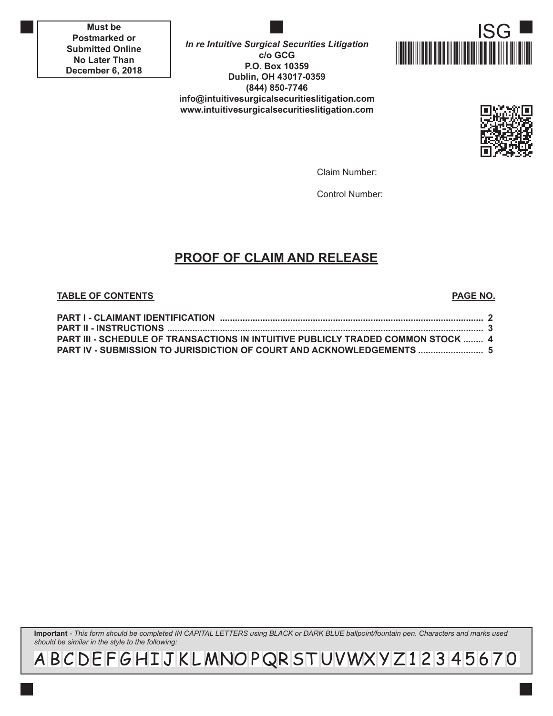**Must be Postmarked or Submitted Online No Later Than December 6, 2018**

**In re Intuitive Surgical Securities Litigation c/o GCG P.O. Box 10359 Dublin, OH 43017-0359 (844) 850-7746 info@intuitivesurgicalsecuritieslitigation.com www.intuitivesurgicalsecuritieslitigation.com**





Claim Number:

Control Number:

# **PROOF OF CLAIM AND RELEASE**

#### **TABLE OF CONTENTS PAGE NO.**

| <b>PART III - SCHEDULE OF TRANSACTIONS IN INTUITIVE PUBLICLY TRADED COMMON STOCK  4</b> |  |
|-----------------------------------------------------------------------------------------|--|
| PART IV - SUBMISSION TO JURISDICTION OF COURT AND ACKNOWLEDGEMENTS  5                   |  |

**Important** *- This form should be completed IN CAPITAL LETTERS using BLACK or DARK BLUE ballpoint/fountain pen. Characters and marks used should be similar in the style to the following:*

A B C DE F G H I J K L MNO P QR ST UVWX Y Z 1 2 3 4 5 6 7 0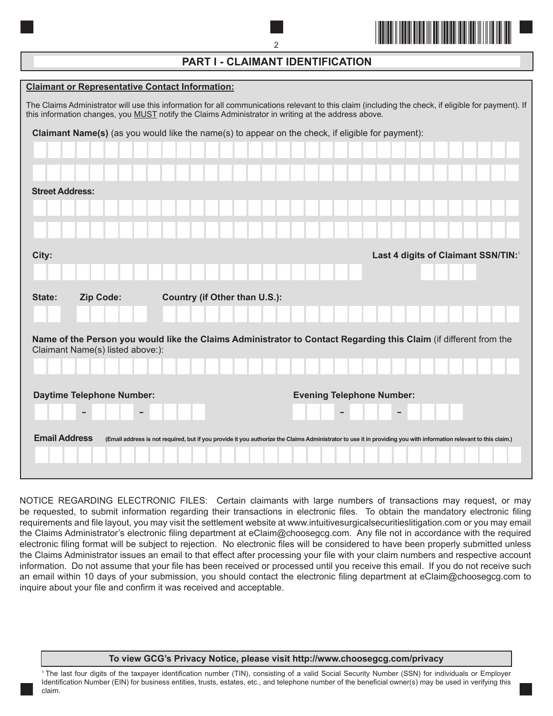

# **PART I - CLAIMANT IDENTIFICATION**

| <b>Claimant or Representative Contact Information:</b>                                                                                                                                                                                                            |  |  |  |  |  |  |  |  |
|-------------------------------------------------------------------------------------------------------------------------------------------------------------------------------------------------------------------------------------------------------------------|--|--|--|--|--|--|--|--|
| The Claims Administrator will use this information for all communications relevant to this claim (including the check, if eligible for payment). If<br>this information changes, you <b>MUST</b> notify the Claims Administrator in writing at the address above. |  |  |  |  |  |  |  |  |
| Claimant Name(s) (as you would like the name(s) to appear on the check, if eligible for payment):                                                                                                                                                                 |  |  |  |  |  |  |  |  |
|                                                                                                                                                                                                                                                                   |  |  |  |  |  |  |  |  |
|                                                                                                                                                                                                                                                                   |  |  |  |  |  |  |  |  |
| <b>Street Address:</b>                                                                                                                                                                                                                                            |  |  |  |  |  |  |  |  |
|                                                                                                                                                                                                                                                                   |  |  |  |  |  |  |  |  |
|                                                                                                                                                                                                                                                                   |  |  |  |  |  |  |  |  |
| City:<br>Last 4 digits of Claimant SSN/TIN:                                                                                                                                                                                                                       |  |  |  |  |  |  |  |  |
|                                                                                                                                                                                                                                                                   |  |  |  |  |  |  |  |  |
| Country (if Other than U.S.):<br>Zip Code:<br>State:                                                                                                                                                                                                              |  |  |  |  |  |  |  |  |
|                                                                                                                                                                                                                                                                   |  |  |  |  |  |  |  |  |
| Name of the Person you would like the Claims Administrator to Contact Regarding this Claim (if different from the<br>Claimant Name(s) listed above:):                                                                                                             |  |  |  |  |  |  |  |  |
|                                                                                                                                                                                                                                                                   |  |  |  |  |  |  |  |  |
|                                                                                                                                                                                                                                                                   |  |  |  |  |  |  |  |  |
| <b>Daytime Telephone Number:</b><br><b>Evening Telephone Number:</b>                                                                                                                                                                                              |  |  |  |  |  |  |  |  |
|                                                                                                                                                                                                                                                                   |  |  |  |  |  |  |  |  |
| <b>Email Address</b><br>(Email address is not required, but if you provide it you authorize the Claims Administrator to use it in providing you with information relevant to this claim.)                                                                         |  |  |  |  |  |  |  |  |
|                                                                                                                                                                                                                                                                   |  |  |  |  |  |  |  |  |
|                                                                                                                                                                                                                                                                   |  |  |  |  |  |  |  |  |

NOTICE REGARDING ELECTRONIC FILES: Certain claimants with large numbers of transactions may request, or may be requested, to submit information regarding their transactions in electronic files. To obtain the mandatory electronic filing requirements and file layout, you may visit the settlement website at www.intuitivesurgicalsecuritieslitigation.com or you may email the Claims Administrator's electronic filing department at eClaim@choosegcg.com. Any file not in accordance with the required electronic filing format will be subject to rejection. No electronic files will be considered to have been properly submitted unless the Claims Administrator issues an email to that effect after processing your file with your claim numbers and respective account information. Do not assume that your file has been received or processed until you receive this email. If you do not receive such an email within 10 days of your submission, you should contact the electronic filing department at eClaim@choosegcg.com to inquire about your file and confirm it was received and acceptable.

#### **To view GCG's Privacy Notice, please visit http://www.choosegcg.com/privacy**

<sup>1</sup>The last four digits of the taxpayer identification number (TIN), consisting of a valid Social Security Number (SSN) for individuals or Employer Identification Number (EIN) for business entities, trusts, estates, etc., and telephone number of the beneficial owner(s) may be used in verifying this claim.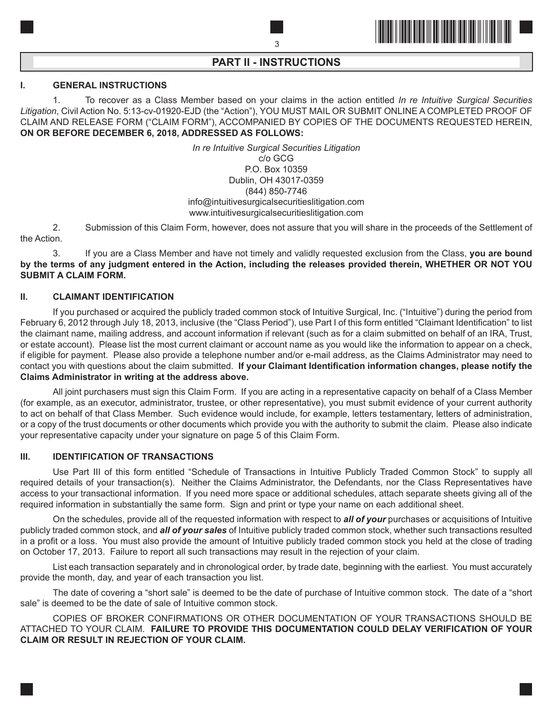

## **PART II - INSTRUCTIONS**

### **I. GENERAL INSTRUCTIONS**

1. To recover as a Class Member based on your claims in the action entitled *In re Intuitive Surgical Securities Litigation*, Civil Action No. 5:13-cv-01920-EJD (the "Action"), YOU MUST MAIL OR SUBMIT ONLINE A COMPLETED PROOF OF CLAIM AND RELEASE FORM ("CLAIM FORM"), ACCOMPANIED BY COPIES OF THE DOCUMENTS REQUESTED HEREIN, **ON OR BEFORE DECEMBER 6, 2018, ADDRESSED AS FOLLOWS:**

> *In re Intuitive Surgical Securities Litigation* c/o GCG P.O. Box 10359 Dublin, OH 43017-0359 (844) 850-7746 info@intuitivesurgicalsecuritieslitigation.com www.intuitivesurgicalsecuritieslitigation.com

2. Submission of this Claim Form, however, does not assure that you will share in the proceeds of the Settlement of the Action.

3. If you are a Class Member and have not timely and validly requested exclusion from the Class, **you are bound by the terms of any judgment entered in the Action, including the releases provided therein, WHETHER OR NOT YOU SUBMIT A CLAIM FORM.**

#### **II. CLAIMANT IDENTIFICATION**

If you purchased or acquired the publicly traded common stock of Intuitive Surgical, Inc. ("Intuitive") during the period from February 6, 2012 through July 18, 2013, inclusive (the "Class Period"), use Part I of this form entitled "Claimant Identification" to list the claimant name, mailing address, and account information if relevant (such as for a claim submitted on behalf of an IRA, Trust, or estate account). Please list the most current claimant or account name as you would like the information to appear on a check, if eligible for payment. Please also provide a telephone number and/or e-mail address, as the Claims Administrator may need to contact you with questions about the claim submitted. **If your Claimant Identification information changes, please notify the Claims Administrator in writing at the address above.**

All joint purchasers must sign this Claim Form. If you are acting in a representative capacity on behalf of a Class Member (for example, as an executor, administrator, trustee, or other representative), you must submit evidence of your current authority to act on behalf of that Class Member. Such evidence would include, for example, letters testamentary, letters of administration, or a copy of the trust documents or other documents which provide you with the authority to submit the claim. Please also indicate your representative capacity under your signature on page 5 of this Claim Form.

#### **III. IDENTIFICATION OF TRANSACTIONS**

Use Part III of this form entitled "Schedule of Transactions in Intuitive Publicly Traded Common Stock" to supply all required details of your transaction(s). Neither the Claims Administrator, the Defendants, nor the Class Representatives have access to your transactional information. If you need more space or additional schedules, attach separate sheets giving all of the required information in substantially the same form. Sign and print or type your name on each additional sheet.

On the schedules, provide all of the requested information with respect to *all of your* purchases or acquisitions of Intuitive publicly traded common stock, and *all of your sales* of Intuitive publicly traded common stock, whether such transactions resulted in a profit or a loss. You must also provide the amount of Intuitive publicly traded common stock you held at the close of trading on October 17, 2013. Failure to report all such transactions may result in the rejection of your claim.

List each transaction separately and in chronological order, by trade date, beginning with the earliest. You must accurately provide the month, day, and year of each transaction you list.

The date of covering a "short sale" is deemed to be the date of purchase of Intuitive common stock. The date of a "short sale" is deemed to be the date of sale of Intuitive common stock.

COPIES OF BROKER CONFIRMATIONS OR OTHER DOCUMENTATION OF YOUR TRANSACTIONS SHOULD BE ATTACHED TO YOUR CLAIM. **FAILURE TO PROVIDE THIS DOCUMENTATION COULD DELAY VERIFICATION OF YOUR CLAIM OR RESULT IN REJECTION OF YOUR CLAIM.**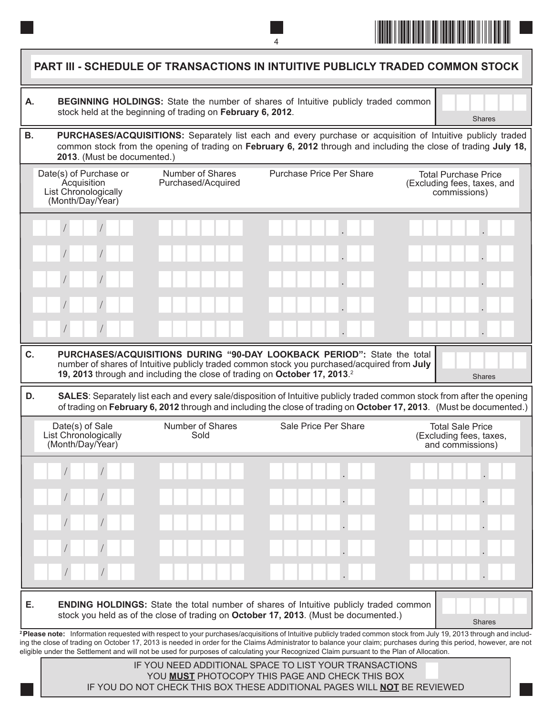

| А.        |                                                                                   | stock held at the beginning of trading on February 6, 2012.                           | <b>BEGINNING HOLDINGS:</b> State the number of shares of Intuitive publicly traded common                                                                                                                                                       | <b>Shares</b>                                                              |
|-----------|-----------------------------------------------------------------------------------|---------------------------------------------------------------------------------------|-------------------------------------------------------------------------------------------------------------------------------------------------------------------------------------------------------------------------------------------------|----------------------------------------------------------------------------|
| <b>B.</b> | 2013. (Must be documented.)                                                       |                                                                                       | PURCHASES/ACQUISITIONS: Separately list each and every purchase or acquisition of Intuitive publicly traded<br>common stock from the opening of trading on February 6, 2012 through and including the close of trading July 18,                 |                                                                            |
|           | Date(s) of Purchase or<br>Acquisition<br>List Chronologically<br>(Month/Day/Year) | Number of Shares<br>Purchased/Acquired                                                | <b>Purchase Price Per Share</b>                                                                                                                                                                                                                 | <b>Total Purchase Price</b><br>(Excluding fees, taxes, and<br>commissions) |
|           |                                                                                   |                                                                                       |                                                                                                                                                                                                                                                 |                                                                            |
|           |                                                                                   |                                                                                       |                                                                                                                                                                                                                                                 |                                                                            |
|           |                                                                                   |                                                                                       |                                                                                                                                                                                                                                                 |                                                                            |
|           |                                                                                   |                                                                                       |                                                                                                                                                                                                                                                 |                                                                            |
|           |                                                                                   |                                                                                       |                                                                                                                                                                                                                                                 |                                                                            |
|           |                                                                                   |                                                                                       |                                                                                                                                                                                                                                                 |                                                                            |
|           |                                                                                   | 19, 2013 through and including the close of trading on October 17, 2013. <sup>2</sup> | PURCHASES/ACQUISITIONS DURING "90-DAY LOOKBACK PERIOD": State the total<br>number of shares of Intuitive publicly traded common stock you purchased/acquired from July                                                                          | <b>Shares</b>                                                              |
| C.<br>D.  |                                                                                   |                                                                                       | SALES: Separately list each and every sale/disposition of Intuitive publicly traded common stock from after the opening<br>of trading on February 6, 2012 through and including the close of trading on October 17, 2013. (Must be documented.) |                                                                            |
|           | Date(s) of Sale<br>List Chronologically<br>(Month/Day/Year)                       | Number of Shares<br>Sold                                                              | Sale Price Per Share                                                                                                                                                                                                                            | <b>Total Sale Price</b><br>(Excluding fees, taxes,<br>and commissions)     |
|           |                                                                                   |                                                                                       |                                                                                                                                                                                                                                                 |                                                                            |
|           |                                                                                   |                                                                                       |                                                                                                                                                                                                                                                 |                                                                            |
|           |                                                                                   |                                                                                       |                                                                                                                                                                                                                                                 |                                                                            |
|           |                                                                                   |                                                                                       |                                                                                                                                                                                                                                                 |                                                                            |
|           |                                                                                   |                                                                                       |                                                                                                                                                                                                                                                 |                                                                            |

IF YOU NEED ADDITIONAL SPACE TO LIST YOUR TRANSACTIONS YOU **MUST** PHOTOCOPY THIS PAGE AND CHECK THIS BOX IF YOU DO NOT CHECK THIS BOX THESE ADDITIONAL PAGES WILL **NOT** BE REVIEWED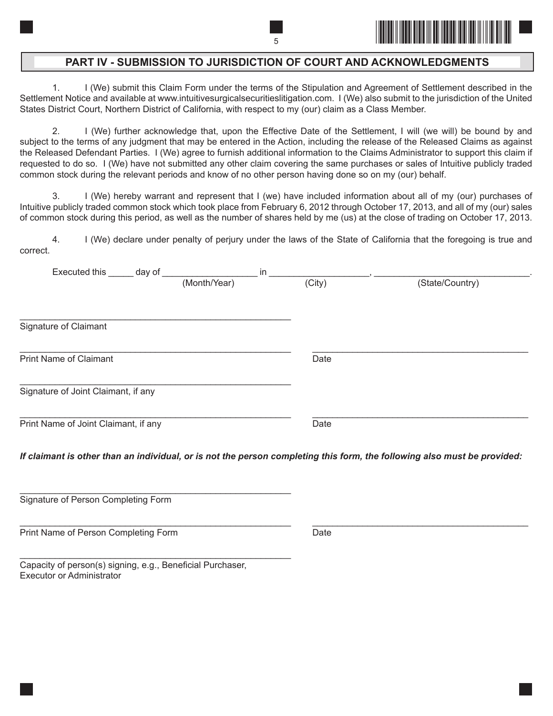

## **PART IV - SUBMISSION TO JURISDICTION OF COURT AND ACKNOWLEDGMENTS**

1. I (We) submit this Claim Form under the terms of the Stipulation and Agreement of Settlement described in the Settlement Notice and available at www.intuitivesurgicalsecuritieslitigation.com. I (We) also submit to the jurisdiction of the United States District Court, Northern District of California, with respect to my (our) claim as a Class Member.

2. I (We) further acknowledge that, upon the Effective Date of the Settlement, I will (we will) be bound by and subject to the terms of any judgment that may be entered in the Action, including the release of the Released Claims as against the Released Defendant Parties. I (We) agree to furnish additional information to the Claims Administrator to support this claim if requested to do so. I (We) have not submitted any other claim covering the same purchases or sales of Intuitive publicly traded common stock during the relevant periods and know of no other person having done so on my (our) behalf.

3. I (We) hereby warrant and represent that I (we) have included information about all of my (our) purchases of Intuitive publicly traded common stock which took place from February 6, 2012 through October 17, 2013, and all of my (our) sales of common stock during this period, as well as the number of shares held by me (us) at the close of trading on October 17, 2013.

4. I (We) declare under penalty of perjury under the laws of the State of California that the foregoing is true and correct.

| Executed this ______ day of          |              | in     |                                                                                                                          |
|--------------------------------------|--------------|--------|--------------------------------------------------------------------------------------------------------------------------|
|                                      | (Month/Year) | (City) | (State/Country)                                                                                                          |
| Signature of Claimant                |              |        |                                                                                                                          |
| <b>Print Name of Claimant</b>        |              | Date   |                                                                                                                          |
| Signature of Joint Claimant, if any  |              |        |                                                                                                                          |
| Print Name of Joint Claimant, if any |              | Date   |                                                                                                                          |
|                                      |              |        | If claimant is other than an individual, or is not the person completing this form, the following also must be provided: |

Signature of Person Completing Form

\_\_\_\_\_\_\_\_\_\_\_\_\_\_\_\_\_\_\_\_\_\_\_\_\_\_\_\_\_\_\_\_\_\_\_\_\_\_\_\_\_\_\_\_\_\_\_\_\_\_\_\_\_\_ \_\_\_\_\_\_\_\_\_\_\_\_\_\_\_\_\_\_\_\_\_\_\_\_\_\_\_\_\_\_\_\_\_\_\_\_\_\_\_\_\_\_\_ Print Name of Person Completing Form **Date** Date

Capacity of person(s) signing, e.g., Beneficial Purchaser, Executor or Administrator

\_\_\_\_\_\_\_\_\_\_\_\_\_\_\_\_\_\_\_\_\_\_\_\_\_\_\_\_\_\_\_\_\_\_\_\_\_\_\_\_\_\_\_\_\_\_\_\_\_\_\_\_\_\_

\_\_\_\_\_\_\_\_\_\_\_\_\_\_\_\_\_\_\_\_\_\_\_\_\_\_\_\_\_\_\_\_\_\_\_\_\_\_\_\_\_\_\_\_\_\_\_\_\_\_\_\_\_\_